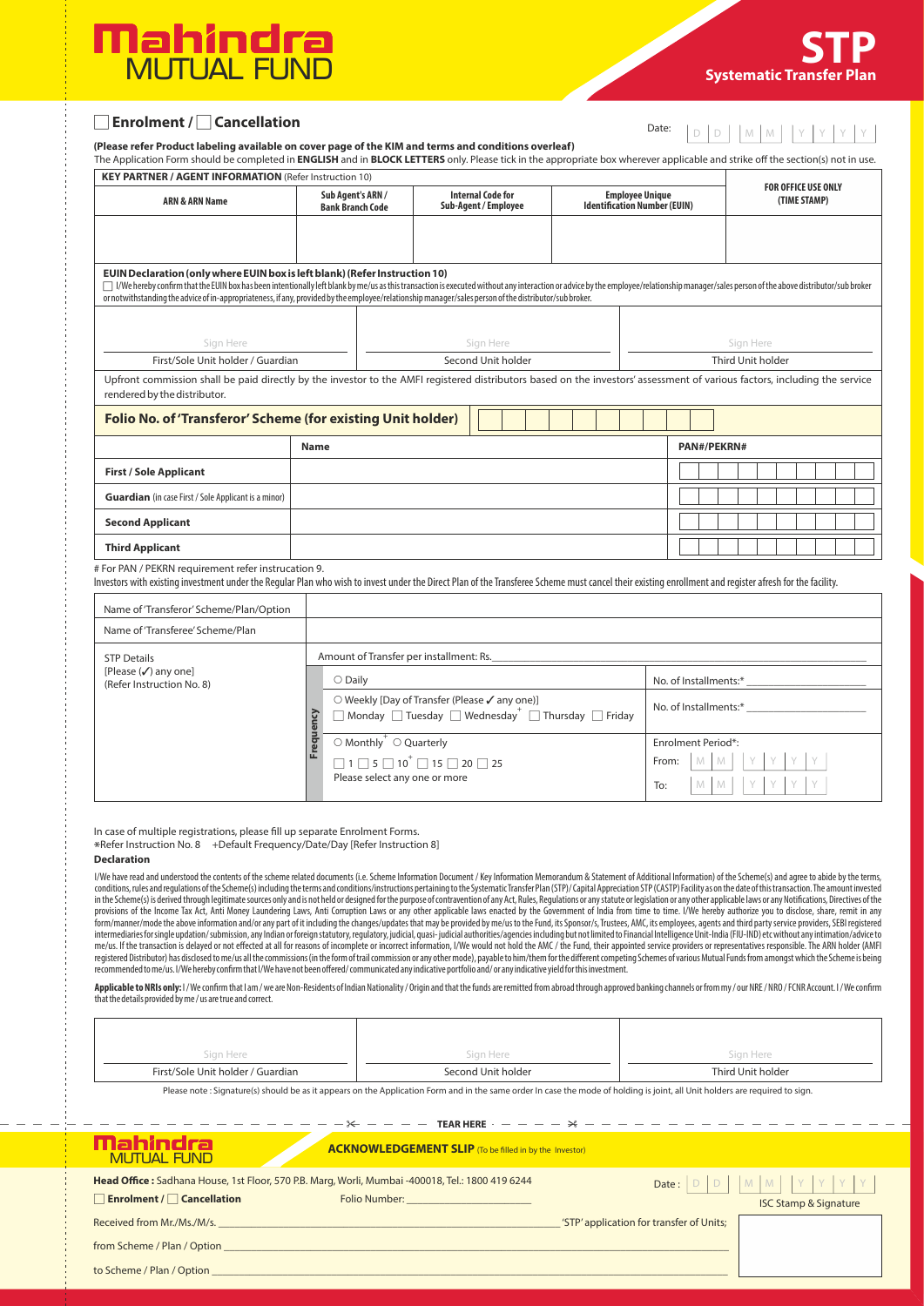

| Enrolment / Cancellation                                                                                                                                                                                                                                                                |                                                                                                                                                                                                                                                                                                                                                                                                                                                                          |                                         |                    |                                                  |                                                               | Date: | D<br>D            | M<br>M                                     |  |
|-----------------------------------------------------------------------------------------------------------------------------------------------------------------------------------------------------------------------------------------------------------------------------------------|--------------------------------------------------------------------------------------------------------------------------------------------------------------------------------------------------------------------------------------------------------------------------------------------------------------------------------------------------------------------------------------------------------------------------------------------------------------------------|-----------------------------------------|--------------------|--------------------------------------------------|---------------------------------------------------------------|-------|-------------------|--------------------------------------------|--|
| (Please refer Product labeling available on cover page of the KIM and terms and conditions overleaf)<br>The Application Form should be completed in ENGLISH and in BLOCK LETTERS only. Please tick in the appropriate box wherever applicable and strike off the section(s) not in use. |                                                                                                                                                                                                                                                                                                                                                                                                                                                                          |                                         |                    |                                                  |                                                               |       |                   |                                            |  |
| <b>KEY PARTNER / AGENT INFORMATION (Refer Instruction 10)</b>                                                                                                                                                                                                                           |                                                                                                                                                                                                                                                                                                                                                                                                                                                                          |                                         |                    |                                                  |                                                               |       |                   |                                            |  |
| <b>ARN &amp; ARN Name</b>                                                                                                                                                                                                                                                               | Sub Agent's ARN /<br><b>Bank Branch Code</b>                                                                                                                                                                                                                                                                                                                                                                                                                             |                                         |                    | <b>Internal Code for</b><br>Sub-Agent / Employee | <b>Employee Unique</b><br><b>Identification Number (EUIN)</b> |       |                   | <b>FOR OFFICE USE ONLY</b><br>(TIME STAMP) |  |
|                                                                                                                                                                                                                                                                                         |                                                                                                                                                                                                                                                                                                                                                                                                                                                                          |                                         |                    |                                                  |                                                               |       |                   |                                            |  |
|                                                                                                                                                                                                                                                                                         | EUIN Declaration (only where EUIN box is left blank) (Refer Instruction 10)<br>$\Box$ I/We hereby confirm that the EUIN box has been intentionally left blank by me/us as this transaction is executed without any interaction or advice by the employee/relationship manager/sales person of the above distri<br>or notwithstanding the advice of in-appropriateness, if any, provided by the employee/relationship manager/sales person of the distributor/sub broker. |                                         |                    |                                                  |                                                               |       |                   |                                            |  |
| Sign Here                                                                                                                                                                                                                                                                               |                                                                                                                                                                                                                                                                                                                                                                                                                                                                          |                                         |                    | Sign Here                                        |                                                               |       | Sign Here         |                                            |  |
| First/Sole Unit holder / Guardian                                                                                                                                                                                                                                                       |                                                                                                                                                                                                                                                                                                                                                                                                                                                                          |                                         | Second Unit holder |                                                  |                                                               |       | Third Unit holder |                                            |  |
| Upfront commission shall be paid directly by the investor to the AMFI registered distributors based on the investors' assessment of various factors, including the service<br>rendered by the distributor.                                                                              |                                                                                                                                                                                                                                                                                                                                                                                                                                                                          |                                         |                    |                                                  |                                                               |       |                   |                                            |  |
| Folio No. of 'Transferor' Scheme (for existing Unit holder)                                                                                                                                                                                                                             |                                                                                                                                                                                                                                                                                                                                                                                                                                                                          |                                         |                    |                                                  |                                                               |       |                   |                                            |  |
|                                                                                                                                                                                                                                                                                         | <b>Name</b>                                                                                                                                                                                                                                                                                                                                                                                                                                                              |                                         |                    |                                                  |                                                               |       | PAN#/PEKRN#       |                                            |  |
| <b>First / Sole Applicant</b>                                                                                                                                                                                                                                                           |                                                                                                                                                                                                                                                                                                                                                                                                                                                                          |                                         |                    |                                                  |                                                               |       |                   |                                            |  |
| <b>Guardian</b> (in case First / Sole Applicant is a minor)                                                                                                                                                                                                                             |                                                                                                                                                                                                                                                                                                                                                                                                                                                                          |                                         |                    |                                                  |                                                               |       |                   |                                            |  |
| <b>Second Applicant</b>                                                                                                                                                                                                                                                                 |                                                                                                                                                                                                                                                                                                                                                                                                                                                                          |                                         |                    |                                                  |                                                               |       |                   |                                            |  |
| <b>Third Applicant</b>                                                                                                                                                                                                                                                                  |                                                                                                                                                                                                                                                                                                                                                                                                                                                                          |                                         |                    |                                                  |                                                               |       |                   |                                            |  |
| # For PAN / PEKRN requirement refer instrucation 9.<br>Investors with existing investment under the Regular Plan who wish to invest under the Direct Plan of the Transferee Scheme must cancel their existing enrollment and register afresh for the facility.                          |                                                                                                                                                                                                                                                                                                                                                                                                                                                                          |                                         |                    |                                                  |                                                               |       |                   |                                            |  |
| Name of 'Transferor' Scheme/Plan/Option                                                                                                                                                                                                                                                 |                                                                                                                                                                                                                                                                                                                                                                                                                                                                          |                                         |                    |                                                  |                                                               |       |                   |                                            |  |
| Name of 'Transferee' Scheme/Plan                                                                                                                                                                                                                                                        |                                                                                                                                                                                                                                                                                                                                                                                                                                                                          |                                         |                    |                                                  |                                                               |       |                   |                                            |  |
| <b>STP Details</b>                                                                                                                                                                                                                                                                      |                                                                                                                                                                                                                                                                                                                                                                                                                                                                          | Amount of Transfer per installment: Rs. |                    |                                                  |                                                               |       |                   |                                            |  |
| [Please $(\checkmark)$ any one]                                                                                                                                                                                                                                                         | $\sim$ $\sim$ $\cdot$                                                                                                                                                                                                                                                                                                                                                                                                                                                    |                                         |                    |                                                  |                                                               |       | $\sim$ .          |                                            |  |

| (Refer Instruction No. 8) | ດ | $\bigcirc$ Daily                                                                                                                          |     | No. of Installments:*     |  |  |
|---------------------------|---|-------------------------------------------------------------------------------------------------------------------------------------------|-----|---------------------------|--|--|
|                           |   | ○ Weekly [Day of Transfer (Please √ any one)]<br>$\Box$ Monday $\Box$ Tuesday $\Box$ Wednesday <sup>+</sup> $\Box$ Thursday $\Box$ Friday |     | No. of Installments:*     |  |  |
|                           |   | $\circ$ Monthly $\circ$ Quarterly                                                                                                         |     | Enrolment Period*:        |  |  |
|                           |   | $\Box$ 1 $\Box$ 5 $\Box$ 10 <sup>+</sup> $\Box$ 15 $\Box$ 20 $\Box$ 25                                                                    |     | From: $M$ $M$ $Y$ $Y$ $Y$ |  |  |
|                           |   | Please select any one or more                                                                                                             | To: | MMIYYYY                   |  |  |

In case of multiple registrations, please fill up separate Enrolment Forms.

Refer Instruction No. 8 +Default Frequency/Date/Day [Refer Instruction 8] \*

## **Declaration**

I/We have read and understood the contents of the scheme related documents (i.e. Scheme Information Document/ Key Information Memorandum & Statement of Additional Information) of the Scheme(s) and agree to abide by the ter conditions, rules and regulations of the Scheme(s) including the terms and conditions/instructions pertaining to the Systematic Transfer Plan (STP)/ Capital Appreciation STP (CASTP) Facility as on the date of this transact in the Scheme(s) is derived through legitimate sources only and is not held or designed for the purpose of contravention of any Act, Rules, Regulations or any statute or legislation or any other applicable laws or any Moti intermediariesforsingle updation/submission, any Indian or foreign statutory, regulatory, judicial, quasi- judicial authorities/agencies including but not limited to Financial Intelligence Unit-India (FIU-IND) etc without mediated Distribution) and isclosed to me/s all the commissions (in the form of trail commission or any other mode), payable to him/them for the different competing Schemes of various Mutual Funds from amongst which the Sc recommended to me/us. I/We hereby confirm that I/We have not been offered/ communicated any indicative portfolio and/ or any indicative yield for this investment.

Applicable to NRIs only: I/We confirm that I am /we are Non-Residents of Indian Nationality / Origin and that the funds are remitted from abroad through approved banking channels or from my / our NRE / NRO / FCNR Account. that the details provided by me / us are true and correct.

| Sign Here                         | Sign Here          | Sign Here         |
|-----------------------------------|--------------------|-------------------|
| First/Sole Unit holder / Guardian | Second Unit holder | Third Unit holder |

Please note : Signature(s) should be as it appears on the Application Form and in the same order In case the mode of holding is joint, all Unit holders are required to sign.

|                                        | $-\infty$ - - - TEAR HERE - - - - $\times$                                                       | --------------                           |                                   |  |
|----------------------------------------|--------------------------------------------------------------------------------------------------|------------------------------------------|-----------------------------------|--|
| Mahindral<br><b>MUTUAL FUND</b>        | <b>ACKNOWLEDGEMENT SLIP</b> (To be filled in by the Investor)                                    |                                          |                                   |  |
|                                        | Head Office: Sadhana House, 1st Floor, 570 P.B. Marg, Worli, Mumbai -400018, Tel.: 1800 419 6244 |                                          | Date: $D$ $D$ $M$ $M$ $Y$ $Y$ $Y$ |  |
| $\Box$ Enrolment / $\Box$ Cancellation | Folio Number:                                                                                    |                                          | <b>ISC Stamp &amp; Signature</b>  |  |
| Received from Mr./Ms./M/s.             |                                                                                                  | 'STP' application for transfer of Units; |                                   |  |
| from Scheme / Plan / Option            |                                                                                                  |                                          |                                   |  |

| to Scheme / Plan / Option |  |
|---------------------------|--|